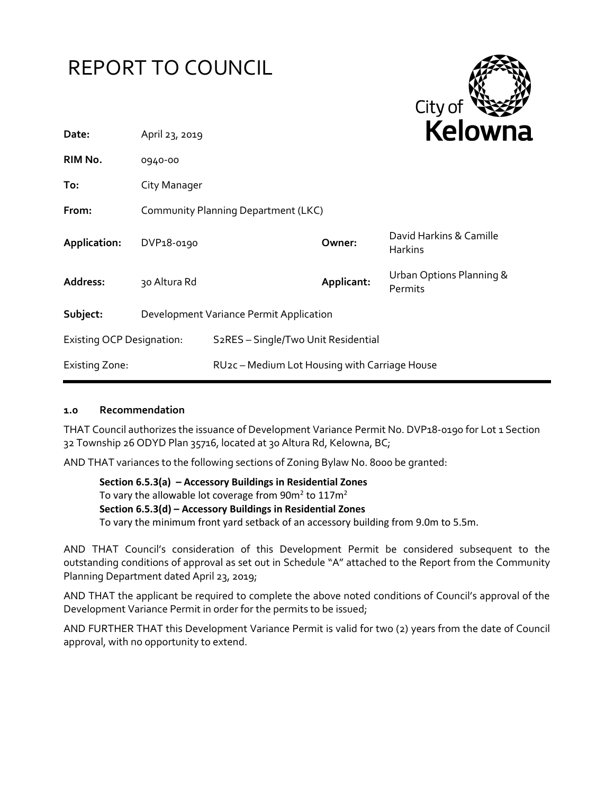# REPORT TO COUNCIL



| Date:                            | April 23, 2019                          |                                                            |            | <b>NEIUWH</b>                             |
|----------------------------------|-----------------------------------------|------------------------------------------------------------|------------|-------------------------------------------|
| RIM No.                          | 0940-00                                 |                                                            |            |                                           |
| To:                              | City Manager                            |                                                            |            |                                           |
| From:                            | Community Planning Department (LKC)     |                                                            |            |                                           |
| Application:                     | DVP <sub>18</sub> -0190                 |                                                            | Owner:     | David Harkins & Camille<br><b>Harkins</b> |
| Address:                         | 30 Altura Rd                            |                                                            | Applicant: | Urban Options Planning &<br>Permits       |
| Subject:                         | Development Variance Permit Application |                                                            |            |                                           |
| <b>Existing OCP Designation:</b> |                                         | S <sub>2</sub> RES - Single/Two Unit Residential           |            |                                           |
| <b>Existing Zone:</b>            |                                         | RU <sub>2</sub> c - Medium Lot Housing with Carriage House |            |                                           |

#### **1.0 Recommendation**

THAT Council authorizes the issuance of Development Variance Permit No. DVP18-0190 for Lot 1 Section 32 Township 26 ODYD Plan 35716, located at 30 Altura Rd, Kelowna, BC;

AND THAT variances to the following sections of Zoning Bylaw No. 8000 be granted:

**Section 6.5.3(a) – Accessory Buildings in Residential Zones** To vary the allowable lot coverage from 90m<sup>2</sup> to 117m<sup>2</sup> **Section 6.5.3(d) – Accessory Buildings in Residential Zones** To vary the minimum front yard setback of an accessory building from 9.0m to 5.5m.

AND THAT Council's consideration of this Development Permit be considered subsequent to the outstanding conditions of approval as set out in Schedule "A" attached to the Report from the Community Planning Department dated April 23, 2019;

AND THAT the applicant be required to complete the above noted conditions of Council's approval of the Development Variance Permit in order for the permits to be issued;

AND FURTHER THAT this Development Variance Permit is valid for two (2) years from the date of Council approval, with no opportunity to extend.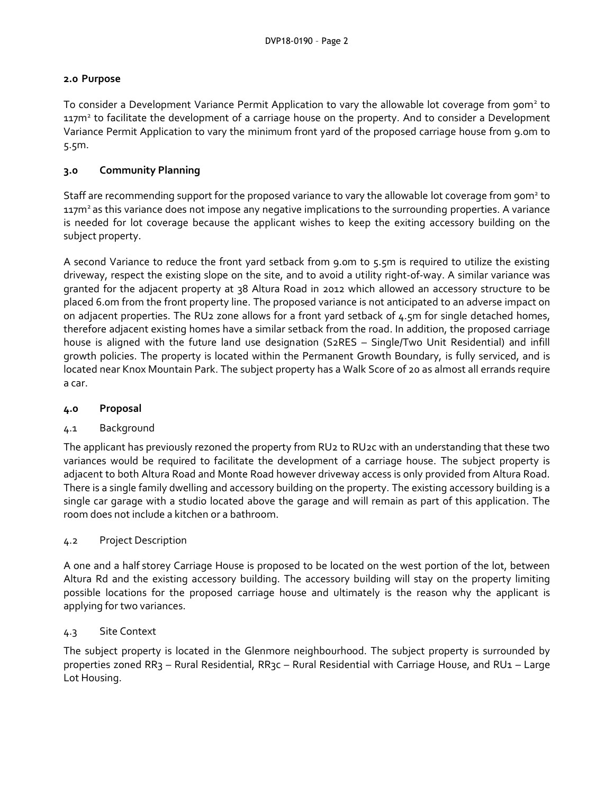# **2.0 Purpose**

To consider a Development Variance Permit Application to vary the allowable lot coverage from 90m<sup>2</sup> to 117m<sup>2</sup> to facilitate the development of a carriage house on the property. And to consider a Development Variance Permit Application to vary the minimum front yard of the proposed carriage house from 9.0m to 5.5m.

# **3.0 Community Planning**

Staff are recommending support for the proposed variance to vary the allowable lot coverage from 90m<sup>2</sup> to 117m<sup>2</sup> as this variance does not impose any negative implications to the surrounding properties. A variance is needed for lot coverage because the applicant wishes to keep the exiting accessory building on the subject property.

A second Variance to reduce the front yard setback from 9.0m to 5.5m is required to utilize the existing driveway, respect the existing slope on the site, and to avoid a utility right-of-way. A similar variance was granted for the adjacent property at 38 Altura Road in 2012 which allowed an accessory structure to be placed 6.0m from the front property line. The proposed variance is not anticipated to an adverse impact on on adjacent properties. The RU2 zone allows for a front yard setback of 4.5m for single detached homes, therefore adjacent existing homes have a similar setback from the road. In addition, the proposed carriage house is aligned with the future land use designation (S2RES – Single/Two Unit Residential) and infill growth policies. The property is located within the Permanent Growth Boundary, is fully serviced, and is located near Knox Mountain Park. The subject property has a Walk Score of 20 as almost all errands require a car.

# **4.0 Proposal**

# 4.1 Background

The applicant has previously rezoned the property from RU2 to RU2c with an understanding that these two variances would be required to facilitate the development of a carriage house. The subject property is adjacent to both Altura Road and Monte Road however driveway access is only provided from Altura Road. There is a single family dwelling and accessory building on the property. The existing accessory building is a single car garage with a studio located above the garage and will remain as part of this application. The room does not include a kitchen or a bathroom.

#### 4.2 Project Description

A one and a half storey Carriage House is proposed to be located on the west portion of the lot, between Altura Rd and the existing accessory building. The accessory building will stay on the property limiting possible locations for the proposed carriage house and ultimately is the reason why the applicant is applying for two variances.

#### 4.3 Site Context

The subject property is located in the Glenmore neighbourhood. The subject property is surrounded by properties zoned RR3 – Rural Residential, RR3c – Rural Residential with Carriage House, and RU1 – Large Lot Housing.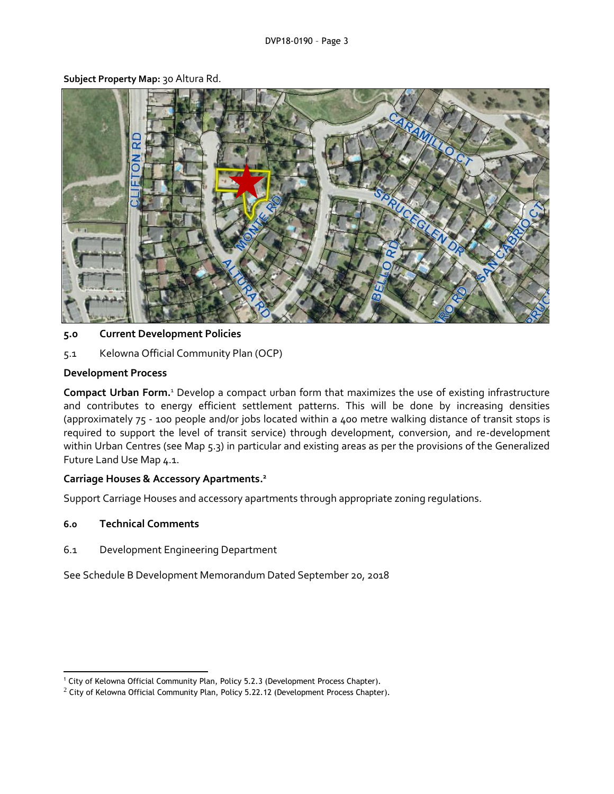#### **Subject Property Map:** 30 Altura Rd.



#### **5.0 Current Development Policies**

5.1 Kelowna Official Community Plan (OCP)

## **Development Process**

**Compact Urban Form.**<sup>1</sup> Develop a compact urban form that maximizes the use of existing infrastructure and contributes to energy efficient settlement patterns. This will be done by increasing densities (approximately 75 - 100 people and/or jobs located within a 400 metre walking distance of transit stops is required to support the level of transit service) through development, conversion, and re-development within Urban Centres (see Map 5.3) in particular and existing areas as per the provisions of the Generalized Future Land Use Map 4.1.

#### **Carriage Houses & Accessory Apartments. 2**

Support Carriage Houses and accessory apartments through appropriate zoning regulations.

#### **6.0 Technical Comments**

-

6.1 Development Engineering Department

See Schedule B Development Memorandum Dated September 20, 2018

<sup>1</sup> City of Kelowna Official Community Plan, Policy 5.2.3 (Development Process Chapter).

 $^2$  City of Kelowna Official Community Plan, Policy 5.22.12 (Development Process Chapter).